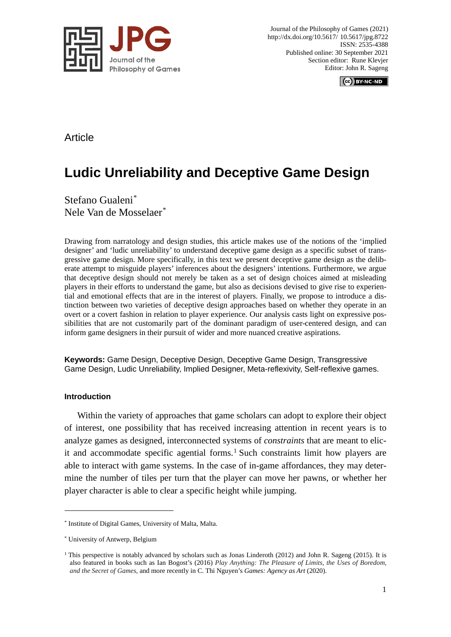

Journal of the Philosophy of Games (2021) http://dx.doi.org/10.5617/ 10.5617/jpg.8722 ISSN: 2535-4388 Published online: 30 September 2021 Section editor: Rune Klevjer Editor: John R. Sageng

CC BY-NC-ND

## Article

# **Ludic Unreliability and Deceptive Game Design**

Stefano Gualeni[\\*](#page-0-0) Nele Van de Mosselaer[\\*](#page-0-1)

Drawing from narratology and design studies, this article makes use of the notions of the 'implied designer' and 'ludic unreliability' to understand deceptive game design as a specific subset of transgressive game design. More specifically, in this text we present deceptive game design as the deliberate attempt to misguide players' inferences about the designers' intentions. Furthermore, we argue that deceptive design should not merely be taken as a set of design choices aimed at misleading players in their efforts to understand the game, but also as decisions devised to give rise to experiential and emotional effects that are in the interest of players. Finally, we propose to introduce a distinction between two varieties of deceptive design approaches based on whether they operate in an overt or a covert fashion in relation to player experience. Our analysis casts light on expressive possibilities that are not customarily part of the dominant paradigm of user-centered design, and can inform game designers in their pursuit of wider and more nuanced creative aspirations.

**Keywords:** Game Design, Deceptive Design, Deceptive Game Design, Transgressive Game Design, Ludic Unreliability, Implied Designer, Meta-reflexivity, Self-reflexive games.

#### **Introduction**

1

Within the variety of approaches that game scholars can adopt to explore their object of interest, one possibility that has received increasing attention in recent years is to analyze games as designed, interconnected systems of *constraints* that are meant to elicit and accommodate specific agential forms. [1](#page-0-2) Such constraints limit how players are able to interact with game systems. In the case of in-game affordances, they may determine the number of tiles per turn that the player can move her pawns, or whether her player character is able to clear a specific height while jumping.

<span id="page-0-0"></span><sup>\*</sup> Institute of Digital Games, University of Malta, Malta.

<span id="page-0-1"></span><sup>\*</sup> University of Antwerp, Belgium

<span id="page-0-2"></span> $1$  This perspective is notably advanced by scholars such as Jonas Linderoth (2012) and John R. Sageng (2015). It is also featured in books such as Ian Bogost's (2016) *Play Anything: The Pleasure of Limits, the Uses of Boredom, and the Secret of Games*, and more recently in C. Thi Nguyen's *Games: Agency as Art* (2020).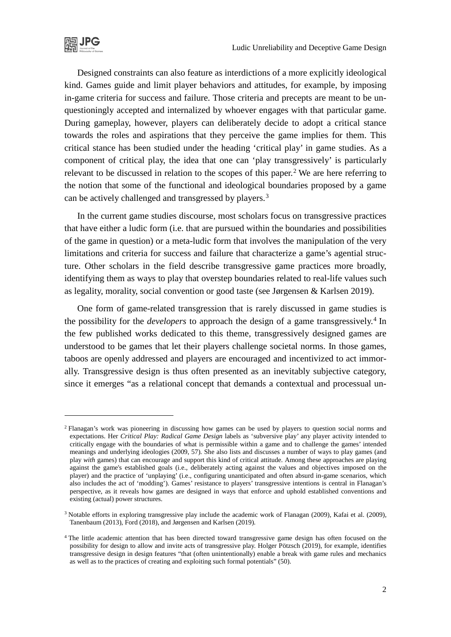Designed constraints can also feature as interdictions of a more explicitly ideological kind. Games guide and limit player behaviors and attitudes, for example, by imposing in-game criteria for success and failure. Those criteria and precepts are meant to be unquestioningly accepted and internalized by whoever engages with that particular game. During gameplay, however, players can deliberately decide to adopt a critical stance towards the roles and aspirations that they perceive the game implies for them. This critical stance has been studied under the heading 'critical play' in game studies. As a component of critical play, the idea that one can 'play transgressively' is particularly relevant to be discussed in relation to the scopes of this paper.<sup>[2](#page-1-0)</sup> We are here referring to the notion that some of the functional and ideological boundaries proposed by a game can be actively challenged and transgressed by players.<sup>[3](#page-1-1)</sup>

In the current game studies discourse, most scholars focus on transgressive practices that have either a ludic form (i.e. that are pursued within the boundaries and possibilities of the game in question) or a meta-ludic form that involves the manipulation of the very limitations and criteria for success and failure that characterize a game's agential structure. Other scholars in the field describe transgressive game practices more broadly, identifying them as ways to play that overstep boundaries related to real-life values such as legality, morality, social convention or good taste (see Jørgensen & Karlsen 2019).

One form of game-related transgression that is rarely discussed in game studies is the possibility for the *developers* to approach the design of a game transgressively.<sup>[4](#page-1-2)</sup> In the few published works dedicated to this theme, transgressively designed games are understood to be games that let their players challenge societal norms. In those games, taboos are openly addressed and players are encouraged and incentivized to act immorally. Transgressive design is thus often presented as an inevitably subjective category, since it emerges "as a relational concept that demands a contextual and processual un-

<span id="page-1-0"></span><sup>2</sup> Flanagan's work was pioneering in discussing how games can be used by players to question social norms and expectations. Her *Critical Play: Radical Game Design* labels as 'subversive play' any player activity intended to critically engage with the boundaries of what is permissible within a game and to challenge the games' intended meanings and underlying ideologies (2009, 57). She also lists and discusses a number of ways to play games (and play *with* games) that can encourage and support this kind of critical attitude. Among these approaches are playing against the game's established goals (i.e., deliberately acting against the values and objectives imposed on the player) and the practice of 'unplaying' (i.e., configuring unanticipated and often absurd in-game scenarios, which also includes the act of 'modding'). Games' resistance to players' transgressive intentions is central in Flanagan's perspective, as it reveals how games are designed in ways that enforce and uphold established conventions and existing (actual) power structures.

<span id="page-1-1"></span><sup>3</sup> Notable efforts in exploring transgressive play include the academic work of Flanagan (2009), Kafai et al. (2009), Tanenbaum (2013), Ford (2018), and Jørgensen and Karlsen (2019).

<span id="page-1-2"></span><sup>&</sup>lt;sup>4</sup> The little academic attention that has been directed toward transgressive game design has often focused on the possibility for design to allow and invite acts of transgressive play. Holger Pötzsch (2019), for example, identifies transgressive design in design features "that (often unintentionally) enable a break with game rules and mechanics as well as to the practices of creating and exploiting such formal potentials" (50).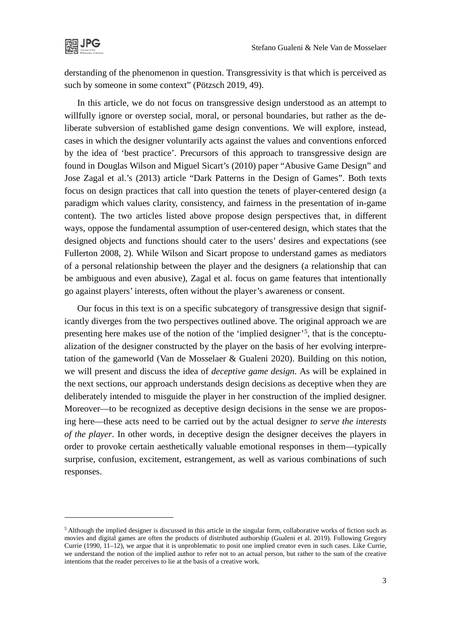

derstanding of the phenomenon in question. Transgressivity is that which is perceived as such by someone in some context" (Pötzsch 2019, 49).

In this article, we do not focus on transgressive design understood as an attempt to willfully ignore or overstep social, moral, or personal boundaries, but rather as the deliberate subversion of established game design conventions. We will explore, instead, cases in which the designer voluntarily acts against the values and conventions enforced by the idea of 'best practice'. Precursors of this approach to transgressive design are found in Douglas Wilson and Miguel Sicart's (2010) paper "Abusive Game Design" and Jose Zagal et al.'s (2013) article "Dark Patterns in the Design of Games". Both texts focus on design practices that call into question the tenets of player-centered design (a paradigm which values clarity, consistency, and fairness in the presentation of in-game content). The two articles listed above propose design perspectives that, in different ways, oppose the fundamental assumption of user-centered design, which states that the designed objects and functions should cater to the users' desires and expectations (see Fullerton 2008, 2). While Wilson and Sicart propose to understand games as mediators of a personal relationship between the player and the designers (a relationship that can be ambiguous and even abusive), Zagal et al. focus on game features that intentionally go against players' interests, often without the player's awareness or consent.

Our focus in this text is on a specific subcategory of transgressive design that significantly diverges from the two perspectives outlined above. The original approach we are presenting here makes use of the notion of the 'implied designer'[5](#page-2-0), that is the conceptualization of the designer constructed by the player on the basis of her evolving interpretation of the gameworld (Van de Mosselaer & Gualeni 2020). Building on this notion, we will present and discuss the idea of *deceptive game design*. As will be explained in the next sections, our approach understands design decisions as deceptive when they are deliberately intended to misguide the player in her construction of the implied designer. Moreover—to be recognized as deceptive design decisions in the sense we are proposing here—these acts need to be carried out by the actual designer *to serve the interests of the player*. In other words, in deceptive design the designer deceives the players in order to provoke certain aesthetically valuable emotional responses in them—typically surprise, confusion, excitement, estrangement, as well as various combinations of such responses.

<span id="page-2-0"></span><sup>5</sup> Although the implied designer is discussed in this article in the singular form, collaborative works of fiction such as movies and digital games are often the products of distributed authorship (Gualeni et al. 2019). Following Gregory Currie (1990, 11–12), we argue that it is unproblematic to posit one implied creator even in such cases. Like Currie, we understand the notion of the implied author to refer not to an actual person, but rather to the sum of the creative intentions that the reader perceives to lie at the basis of a creative work.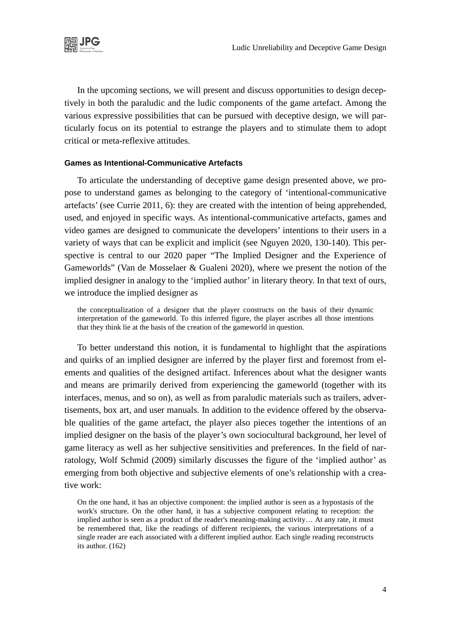

In the upcoming sections, we will present and discuss opportunities to design deceptively in both the paraludic and the ludic components of the game artefact. Among the various expressive possibilities that can be pursued with deceptive design, we will particularly focus on its potential to estrange the players and to stimulate them to adopt critical or meta-reflexive attitudes.

#### **Games as Intentional-Communicative Artefacts**

To articulate the understanding of deceptive game design presented above, we propose to understand games as belonging to the category of 'intentional-communicative artefacts' (see Currie 2011, 6): they are created with the intention of being apprehended, used, and enjoyed in specific ways. As intentional-communicative artefacts, games and video games are designed to communicate the developers' intentions to their users in a variety of ways that can be explicit and implicit (see Nguyen 2020, 130-140). This perspective is central to our 2020 paper "The Implied Designer and the Experience of Gameworlds" (Van de Mosselaer & Gualeni 2020), where we present the notion of the implied designer in analogy to the 'implied author' in literary theory. In that text of ours, we introduce the implied designer as

the conceptualization of a designer that the player constructs on the basis of their dynamic interpretation of the gameworld. To this inferred figure, the player ascribes all those intentions that they think lie at the basis of the creation of the gameworld in question.

To better understand this notion, it is fundamental to highlight that the aspirations and quirks of an implied designer are inferred by the player first and foremost from elements and qualities of the designed artifact. Inferences about what the designer wants and means are primarily derived from experiencing the gameworld (together with its interfaces, menus, and so on), as well as from paraludic materials such as trailers, advertisements, box art, and user manuals. In addition to the evidence offered by the observable qualities of the game artefact, the player also pieces together the intentions of an implied designer on the basis of the player's own sociocultural background, her level of game literacy as well as her subjective sensitivities and preferences. In the field of narratology, Wolf Schmid (2009) similarly discusses the figure of the 'implied author' as emerging from both objective and subjective elements of one's relationship with a creative work:

On the one hand, it has an objective component: the implied author is seen as a hypostasis of the work's structure. On the other hand, it has a subjective component relating to reception: the implied author is seen as a product of the reader's meaning-making activity… At any rate, it must be remembered that, like the readings of different recipients, the various interpretations of a single reader are each associated with a different implied author. Each single reading reconstructs its author. (162)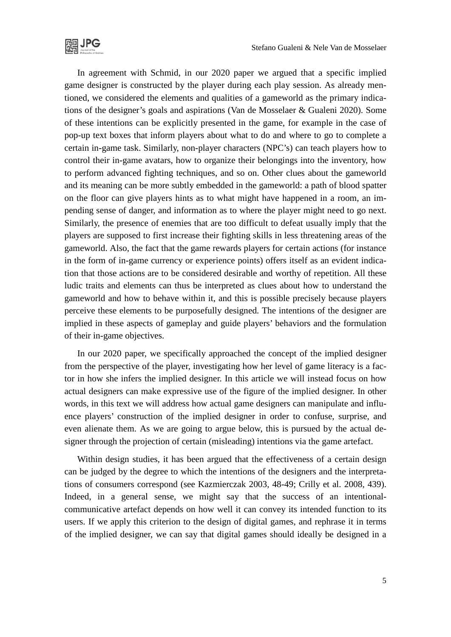

In agreement with Schmid, in our 2020 paper we argued that a specific implied game designer is constructed by the player during each play session. As already mentioned, we considered the elements and qualities of a gameworld as the primary indications of the designer's goals and aspirations (Van de Mosselaer & Gualeni 2020). Some of these intentions can be explicitly presented in the game, for example in the case of pop-up text boxes that inform players about what to do and where to go to complete a certain in-game task. Similarly, non-player characters (NPC's) can teach players how to control their in-game avatars, how to organize their belongings into the inventory, how to perform advanced fighting techniques, and so on. Other clues about the gameworld and its meaning can be more subtly embedded in the gameworld: a path of blood spatter on the floor can give players hints as to what might have happened in a room, an impending sense of danger, and information as to where the player might need to go next. Similarly, the presence of enemies that are too difficult to defeat usually imply that the players are supposed to first increase their fighting skills in less threatening areas of the gameworld. Also, the fact that the game rewards players for certain actions (for instance in the form of in-game currency or experience points) offers itself as an evident indication that those actions are to be considered desirable and worthy of repetition. All these ludic traits and elements can thus be interpreted as clues about how to understand the gameworld and how to behave within it, and this is possible precisely because players perceive these elements to be purposefully designed. The intentions of the designer are implied in these aspects of gameplay and guide players' behaviors and the formulation of their in-game objectives.

In our 2020 paper, we specifically approached the concept of the implied designer from the perspective of the player, investigating how her level of game literacy is a factor in how she infers the implied designer. In this article we will instead focus on how actual designers can make expressive use of the figure of the implied designer. In other words, in this text we will address how actual game designers can manipulate and influence players' construction of the implied designer in order to confuse, surprise, and even alienate them. As we are going to argue below, this is pursued by the actual designer through the projection of certain (misleading) intentions via the game artefact.

Within design studies, it has been argued that the effectiveness of a certain design can be judged by the degree to which the intentions of the designers and the interpretations of consumers correspond (see Kazmierczak 2003, 48-49; Crilly et al. 2008, 439). Indeed, in a general sense, we might say that the success of an intentionalcommunicative artefact depends on how well it can convey its intended function to its users. If we apply this criterion to the design of digital games, and rephrase it in terms of the implied designer, we can say that digital games should ideally be designed in a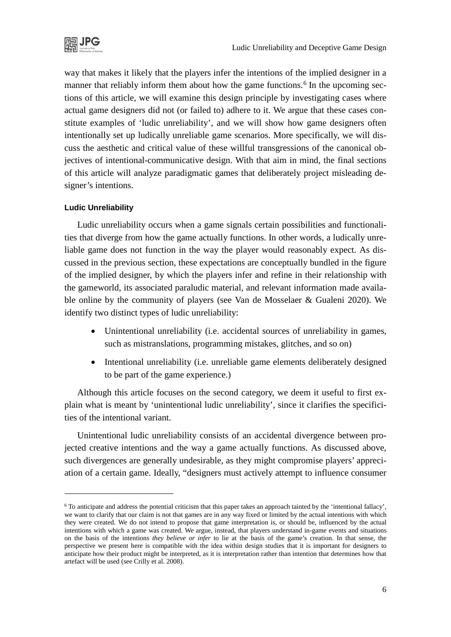

way that makes it likely that the players infer the intentions of the implied designer in a manner that reliably inform them about how the game functions.<sup>[6](#page-5-0)</sup> In the upcoming sections of this article, we will examine this design principle by investigating cases where actual game designers did not (or failed to) adhere to it. We argue that these cases constitute examples of 'ludic unreliability', and we will show how game designers often intentionally set up ludically unreliable game scenarios. More specifically, we will discuss the aesthetic and critical value of these willful transgressions of the canonical objectives of intentional-communicative design. With that aim in mind, the final sections of this article will analyze paradigmatic games that deliberately project misleading designer's intentions.

#### **Ludic Unreliability**

1

Ludic unreliability occurs when a game signals certain possibilities and functionalities that diverge from how the game actually functions. In other words, a ludically unreliable game does not function in the way the player would reasonably expect. As discussed in the previous section, these expectations are conceptually bundled in the figure of the implied designer, by which the players infer and refine in their relationship with the gameworld, its associated paraludic material, and relevant information made available online by the community of players (see Van de Mosselaer & Gualeni 2020). We identify two distinct types of ludic unreliability:

- Unintentional unreliability (i.e. accidental sources of unreliability in games, such as mistranslations, programming mistakes, glitches, and so on)
- Intentional unreliability (i.e. unreliable game elements deliberately designed to be part of the game experience.)

Although this article focuses on the second category, we deem it useful to first explain what is meant by 'unintentional ludic unreliability', since it clarifies the specificities of the intentional variant.

Unintentional ludic unreliability consists of an accidental divergence between projected creative intentions and the way a game actually functions. As discussed above, such divergences are generally undesirable, as they might compromise players' appreciation of a certain game. Ideally, "designers must actively attempt to influence consumer

<span id="page-5-0"></span><sup>6</sup> To anticipate and address the potential criticism that this paper takes an approach tainted by the 'intentional fallacy', we want to clarify that our claim is not that games are in any way fixed or limited by the actual intentions with which they were created. We do not intend to propose that game interpretation is, or should be, influenced by the actual intentions with which a game was created. We argue, instead, that players understand in-game events and situations on the basis of the intentions *they believe or infer* to lie at the basis of the game's creation. In that sense, the perspective we present here is compatible with the idea within design studies that it is important for designers to anticipate how their product might be interpreted, as it is interpretation rather than intention that determines how that artefact will be used (see Crilly et al. 2008).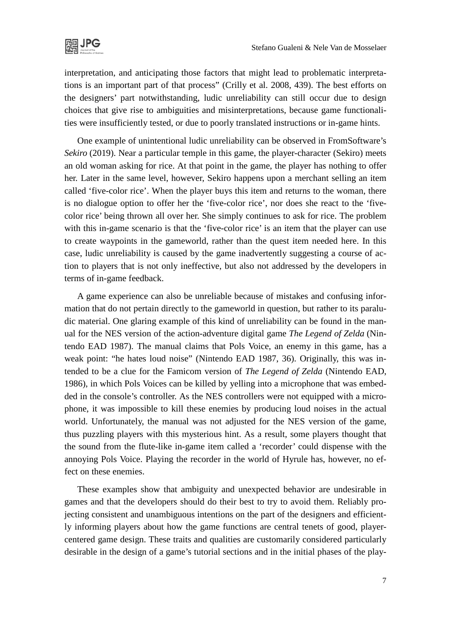

interpretation, and anticipating those factors that might lead to problematic interpretations is an important part of that process" (Crilly et al. 2008, 439). The best efforts on the designers' part notwithstanding, ludic unreliability can still occur due to design choices that give rise to ambiguities and misinterpretations, because game functionalities were insufficiently tested, or due to poorly translated instructions or in-game hints.

One example of unintentional ludic unreliability can be observed in FromSoftware's *Sekiro* (2019). Near a particular temple in this game, the player-character (Sekiro) meets an old woman asking for rice. At that point in the game, the player has nothing to offer her. Later in the same level, however, Sekiro happens upon a merchant selling an item called 'five-color rice'. When the player buys this item and returns to the woman, there is no dialogue option to offer her the 'five-color rice', nor does she react to the 'fivecolor rice' being thrown all over her. She simply continues to ask for rice. The problem with this in-game scenario is that the 'five-color rice' is an item that the player can use to create waypoints in the gameworld, rather than the quest item needed here. In this case, ludic unreliability is caused by the game inadvertently suggesting a course of action to players that is not only ineffective, but also not addressed by the developers in terms of in-game feedback.

A game experience can also be unreliable because of mistakes and confusing information that do not pertain directly to the gameworld in question, but rather to its paraludic material. One glaring example of this kind of unreliability can be found in the manual for the NES version of the action-adventure digital game *The Legend of Zelda* (Nintendo EAD 1987). The manual claims that Pols Voice, an enemy in this game, has a weak point: "he hates loud noise" (Nintendo EAD 1987, 36). Originally, this was intended to be a clue for the Famicom version of *The Legend of Zelda* (Nintendo EAD, 1986), in which Pols Voices can be killed by yelling into a microphone that was embedded in the console's controller. As the NES controllers were not equipped with a microphone, it was impossible to kill these enemies by producing loud noises in the actual world. Unfortunately, the manual was not adjusted for the NES version of the game, thus puzzling players with this mysterious hint. As a result, some players thought that the sound from the flute-like in-game item called a 'recorder' could dispense with the annoying Pols Voice. Playing the recorder in the world of Hyrule has, however, no effect on these enemies.

These examples show that ambiguity and unexpected behavior are undesirable in games and that the developers should do their best to try to avoid them. Reliably projecting consistent and unambiguous intentions on the part of the designers and efficiently informing players about how the game functions are central tenets of good, playercentered game design. These traits and qualities are customarily considered particularly desirable in the design of a game's tutorial sections and in the initial phases of the play-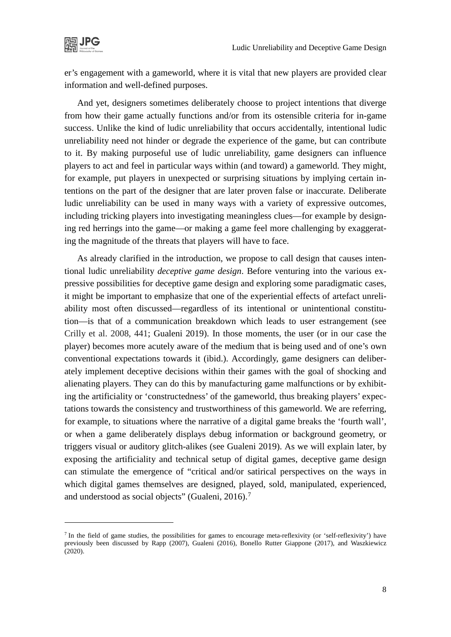

er's engagement with a gameworld, where it is vital that new players are provided clear information and well-defined purposes.

And yet, designers sometimes deliberately choose to project intentions that diverge from how their game actually functions and/or from its ostensible criteria for in-game success. Unlike the kind of ludic unreliability that occurs accidentally, intentional ludic unreliability need not hinder or degrade the experience of the game, but can contribute to it. By making purposeful use of ludic unreliability, game designers can influence players to act and feel in particular ways within (and toward) a gameworld. They might, for example, put players in unexpected or surprising situations by implying certain intentions on the part of the designer that are later proven false or inaccurate. Deliberate ludic unreliability can be used in many ways with a variety of expressive outcomes, including tricking players into investigating meaningless clues—for example by designing red herrings into the game—or making a game feel more challenging by exaggerating the magnitude of the threats that players will have to face.

As already clarified in the introduction, we propose to call design that causes intentional ludic unreliability *deceptive game design*. Before venturing into the various expressive possibilities for deceptive game design and exploring some paradigmatic cases, it might be important to emphasize that one of the experiential effects of artefact unreliability most often discussed—regardless of its intentional or unintentional constitution—is that of a communication breakdown which leads to user estrangement (see Crilly et al. 2008, 441; Gualeni 2019). In those moments, the user (or in our case the player) becomes more acutely aware of the medium that is being used and of one's own conventional expectations towards it (ibid.). Accordingly, game designers can deliberately implement deceptive decisions within their games with the goal of shocking and alienating players. They can do this by manufacturing game malfunctions or by exhibiting the artificiality or 'constructedness' of the gameworld, thus breaking players' expectations towards the consistency and trustworthiness of this gameworld. We are referring, for example, to situations where the narrative of a digital game breaks the 'fourth wall', or when a game deliberately displays debug information or background geometry, or triggers visual or auditory glitch-alikes (see Gualeni 2019). As we will explain later, by exposing the artificiality and technical setup of digital games, deceptive game design can stimulate the emergence of "critical and/or satirical perspectives on the ways in which digital games themselves are designed, played, sold, manipulated, experienced, and understood as social objects" (Gualeni, 2016).<sup>[7](#page-7-0)</sup>

<span id="page-7-0"></span> $<sup>7</sup>$  In the field of game studies, the possibilities for games to encourage meta-reflexivity (or 'self-reflexivity') have</sup> previously been discussed by Rapp (2007), Gualeni (2016), Bonello Rutter Giappone (2017), and Waszkiewicz (2020).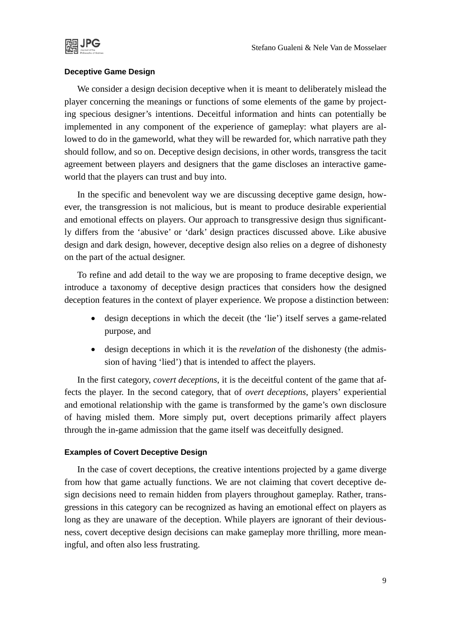

#### **Deceptive Game Design**

We consider a design decision deceptive when it is meant to deliberately mislead the player concerning the meanings or functions of some elements of the game by projecting specious designer's intentions. Deceitful information and hints can potentially be implemented in any component of the experience of gameplay: what players are allowed to do in the gameworld, what they will be rewarded for, which narrative path they should follow, and so on. Deceptive design decisions, in other words, transgress the tacit agreement between players and designers that the game discloses an interactive gameworld that the players can trust and buy into.

In the specific and benevolent way we are discussing deceptive game design, however, the transgression is not malicious, but is meant to produce desirable experiential and emotional effects on players. Our approach to transgressive design thus significantly differs from the 'abusive' or 'dark' design practices discussed above. Like abusive design and dark design, however, deceptive design also relies on a degree of dishonesty on the part of the actual designer.

To refine and add detail to the way we are proposing to frame deceptive design, we introduce a taxonomy of deceptive design practices that considers how the designed deception features in the context of player experience. We propose a distinction between:

- design deceptions in which the deceit (the 'lie') itself serves a game-related purpose, and
- design deceptions in which it is the *revelation* of the dishonesty (the admission of having 'lied') that is intended to affect the players.

In the first category, *covert deceptions*, it is the deceitful content of the game that affects the player. In the second category, that of *overt deceptions*, players' experiential and emotional relationship with the game is transformed by the game's own disclosure of having misled them. More simply put, overt deceptions primarily affect players through the in-game admission that the game itself was deceitfully designed.

#### **Examples of Covert Deceptive Design**

In the case of covert deceptions, the creative intentions projected by a game diverge from how that game actually functions. We are not claiming that covert deceptive design decisions need to remain hidden from players throughout gameplay. Rather, transgressions in this category can be recognized as having an emotional effect on players as long as they are unaware of the deception. While players are ignorant of their deviousness, covert deceptive design decisions can make gameplay more thrilling, more meaningful, and often also less frustrating.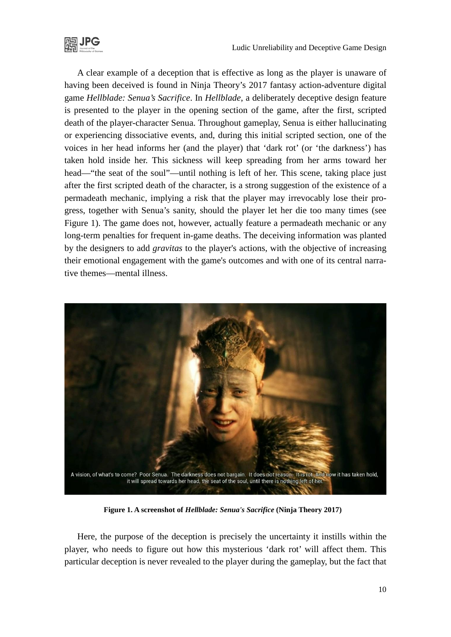

A clear example of a deception that is effective as long as the player is unaware of having been deceived is found in Ninja Theory's 2017 fantasy action-adventure digital game *Hellblade: Senua's Sacrifice*. In *Hellblade*, a deliberately deceptive design feature is presented to the player in the opening section of the game, after the first, scripted death of the player-character Senua. Throughout gameplay, Senua is either hallucinating or experiencing dissociative events, and, during this initial scripted section, one of the voices in her head informs her (and the player) that 'dark rot' (or 'the darkness') has taken hold inside her. This sickness will keep spreading from her arms toward her head—"the seat of the soul"—until nothing is left of her. This scene, taking place just after the first scripted death of the character, is a strong suggestion of the existence of a permadeath mechanic, implying a risk that the player may irrevocably lose their progress, together with Senua's sanity, should the player let her die too many times (see Figure 1). The game does not, however, actually feature a permadeath mechanic or any long-term penalties for frequent in-game deaths. The deceiving information was planted by the designers to add *gravitas* to the player's actions, with the objective of increasing their emotional engagement with the game's outcomes and with one of its central narrative themes—mental illness.



**Figure 1. A screenshot of** *Hellblade: Senua's Sacrifice* **(Ninja Theory 2017)**

Here, the purpose of the deception is precisely the uncertainty it instills within the player, who needs to figure out how this mysterious 'dark rot' will affect them. This particular deception is never revealed to the player during the gameplay, but the fact that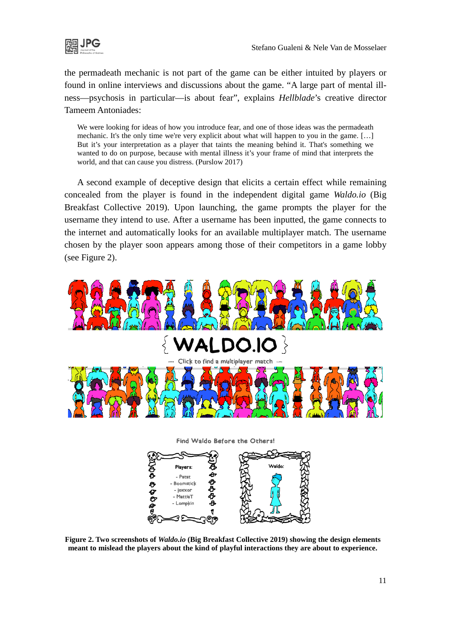

the permadeath mechanic is not part of the game can be either intuited by players or found in online interviews and discussions about the game. "A large part of mental illness—psychosis in particular—is about fear", explains *Hellblade*'s creative director Tameem Antoniades:

We were looking for ideas of how you introduce fear, and one of those ideas was the permadeath mechanic. It's the only time we're very explicit about what will happen to you in the game. […] But it's your interpretation as a player that taints the meaning behind it. That's something we wanted to do on purpose, because with mental illness it's your frame of mind that interprets the world, and that can cause you distress. (Purslow 2017)

A second example of deceptive design that elicits a certain effect while remaining concealed from the player is found in the independent digital game *Waldo.io* (Big Breakfast Collective 2019). Upon launching, the game prompts the player for the username they intend to use. After a username has been inputted, the game connects to the internet and automatically looks for an available multiplayer match. The username chosen by the player soon appears among those of their competitors in a game lobby (see Figure 2).



Find Waldo Before the Others!



**Figure 2. Two screenshots of** *Waldo.io* **(Big Breakfast Collective 2019) showing the design elements meant to mislead the players about the kind of playful interactions they are about to experience.**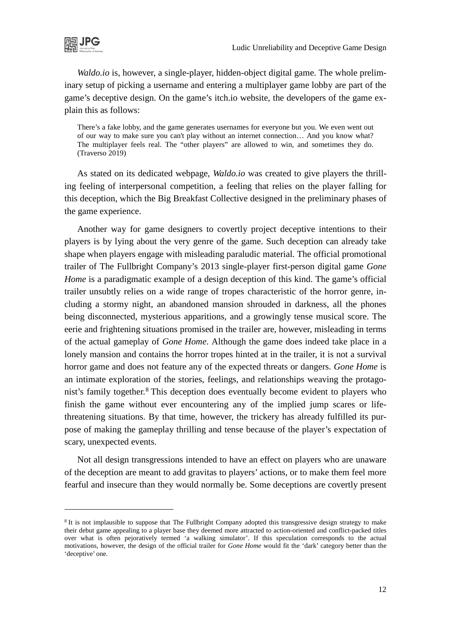

*Waldo.io* is, however, a single-player, hidden-object digital game. The whole preliminary setup of picking a username and entering a multiplayer game lobby are part of the game's deceptive design. On the game's itch.io website, the developers of the game explain this as follows:

There's a fake lobby, and the game generates usernames for everyone but you. We even went out of our way to make sure you can't play without an internet connection… And you know what? The multiplayer feels real. The "other players" are allowed to win, and sometimes they do. (Traverso 2019)

As stated on its dedicated webpage, *Waldo.io* was created to give players the thrilling feeling of interpersonal competition, a feeling that relies on the player falling for this deception, which the Big Breakfast Collective designed in the preliminary phases of the game experience.

Another way for game designers to covertly project deceptive intentions to their players is by lying about the very genre of the game. Such deception can already take shape when players engage with misleading paraludic material. The official promotional trailer of The Fullbright Company's 2013 single-player first-person digital game *Gone Home* is a paradigmatic example of a design deception of this kind. The game's official trailer unsubtly relies on a wide range of tropes characteristic of the horror genre, including a stormy night, an abandoned mansion shrouded in darkness, all the phones being disconnected, mysterious apparitions, and a growingly tense musical score. The eerie and frightening situations promised in the trailer are, however, misleading in terms of the actual gameplay of *Gone Home*. Although the game does indeed take place in a lonely mansion and contains the horror tropes hinted at in the trailer, it is not a survival horror game and does not feature any of the expected threats or dangers. *Gone Home* is an intimate exploration of the stories, feelings, and relationships weaving the protago-nist's family together.<sup>[8](#page-11-0)</sup> This deception does eventually become evident to players who finish the game without ever encountering any of the implied jump scares or lifethreatening situations. By that time, however, the trickery has already fulfilled its purpose of making the gameplay thrilling and tense because of the player's expectation of scary, unexpected events.

Not all design transgressions intended to have an effect on players who are unaware of the deception are meant to add gravitas to players' actions, or to make them feel more fearful and insecure than they would normally be. Some deceptions are covertly present

<span id="page-11-0"></span><sup>&</sup>lt;sup>8</sup> It is not implausible to suppose that The Fullbright Company adopted this transgressive design strategy to make their debut game appealing to a player base they deemed more attracted to action-oriented and conflict-packed titles over what is often pejoratively termed 'a walking simulator'. If this speculation corresponds to the actual motivations, however, the design of the official trailer for *Gone Home* would fit the 'dark' category better than the 'deceptive' one.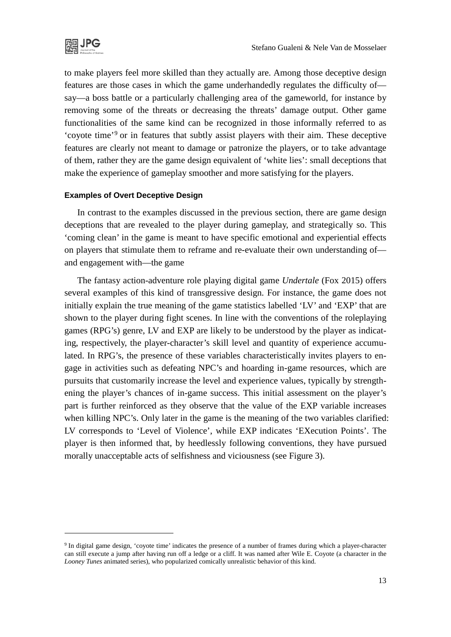

to make players feel more skilled than they actually are. Among those deceptive design features are those cases in which the game underhandedly regulates the difficulty of say—a boss battle or a particularly challenging area of the gameworld, for instance by removing some of the threats or decreasing the threats' damage output. Other game functionalities of the same kind can be recognized in those informally referred to as 'coyote time'[9](#page-12-0) or in features that subtly assist players with their aim. These deceptive features are clearly not meant to damage or patronize the players, or to take advantage of them, rather they are the game design equivalent of 'white lies': small deceptions that make the experience of gameplay smoother and more satisfying for the players.

#### **Examples of Overt Deceptive Design**

In contrast to the examples discussed in the previous section, there are game design deceptions that are revealed to the player during gameplay, and strategically so. This 'coming clean' in the game is meant to have specific emotional and experiential effects on players that stimulate them to reframe and re-evaluate their own understanding of and engagement with—the game

The fantasy action-adventure role playing digital game *Undertale* (Fox 2015) offers several examples of this kind of transgressive design. For instance, the game does not initially explain the true meaning of the game statistics labelled 'LV' and 'EXP' that are shown to the player during fight scenes. In line with the conventions of the roleplaying games (RPG's) genre, LV and EXP are likely to be understood by the player as indicating, respectively, the player-character's skill level and quantity of experience accumulated. In RPG's, the presence of these variables characteristically invites players to engage in activities such as defeating NPC's and hoarding in-game resources, which are pursuits that customarily increase the level and experience values, typically by strengthening the player's chances of in-game success. This initial assessment on the player's part is further reinforced as they observe that the value of the EXP variable increases when killing NPC's. Only later in the game is the meaning of the two variables clarified: LV corresponds to 'Level of Violence', while EXP indicates 'EXecution Points'. The player is then informed that, by heedlessly following conventions, they have pursued morally unacceptable acts of selfishness and viciousness (see Figure 3).

<span id="page-12-0"></span><sup>9</sup> In digital game design, 'coyote time' indicates the presence of a number of frames during which a player-character can still execute a jump after having run off a ledge or a cliff. It was named after Wile E. Coyote (a character in the *Looney Tunes* animated series), who popularized comically unrealistic behavior of this kind.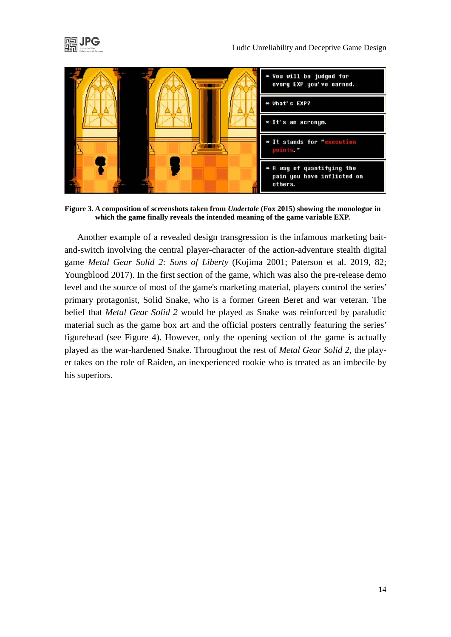



**Figure 3. A composition of screenshots taken from** *Undertale* **(Fox 2015) showing the monologue in which the game finally reveals the intended meaning of the game variable EXP.**

Another example of a revealed design transgression is the infamous marketing baitand-switch involving the central player-character of the action-adventure stealth digital game *Metal Gear Solid 2: Sons of Liberty* (Kojima 2001; Paterson et al. 2019, 82; Youngblood 2017). In the first section of the game, which was also the pre-release demo level and the source of most of the game's marketing material, players control the series' primary protagonist, Solid Snake, who is a former Green Beret and war veteran. The belief that *Metal Gear Solid 2* would be played as Snake was reinforced by paraludic material such as the game box art and the official posters centrally featuring the series' figurehead (see Figure 4). However, only the opening section of the game is actually played as the war-hardened Snake. Throughout the rest of *Metal Gear Solid 2*, the player takes on the role of Raiden, an inexperienced rookie who is treated as an imbecile by his superiors.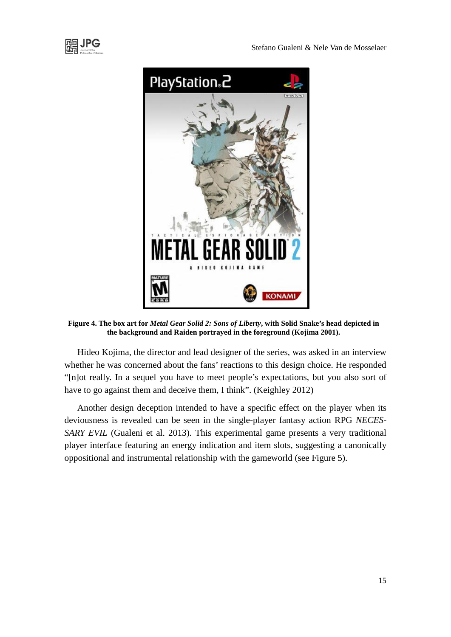



**Figure 4. The box art for** *Metal Gear Solid 2: Sons of Liberty***, with Solid Snake's head depicted in the background and Raiden portrayed in the foreground (Kojima 2001).**

Hideo Kojima, the director and lead designer of the series, was asked in an interview whether he was concerned about the fans' reactions to this design choice. He responded "[n]ot really. In a sequel you have to meet people's expectations, but you also sort of have to go against them and deceive them, I think". (Keighley 2012)

Another design deception intended to have a specific effect on the player when its deviousness is revealed can be seen in the single-player fantasy action RPG *NECES-SARY EVIL* (Gualeni et al. 2013). This experimental game presents a very traditional player interface featuring an energy indication and item slots, suggesting a canonically oppositional and instrumental relationship with the gameworld (see Figure 5).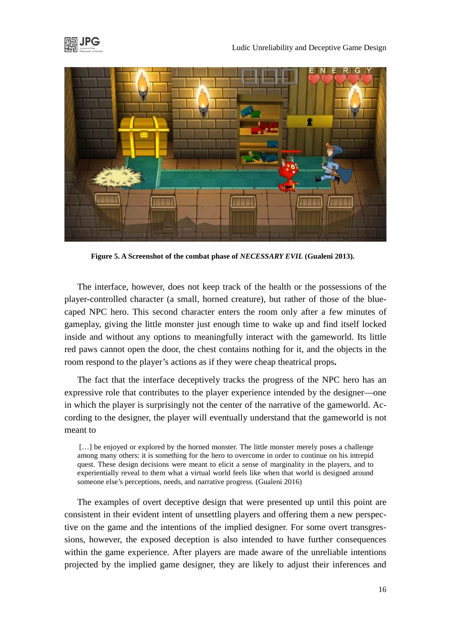





**Figure 5. A Screenshot of the combat phase of** *NECESSARY EVIL* **(Gualeni 2013).**

The interface, however, does not keep track of the health or the possessions of the player-controlled character (a small, horned creature), but rather of those of the bluecaped NPC hero. This second character enters the room only after a few minutes of gameplay, giving the little monster just enough time to wake up and find itself locked inside and without any options to meaningfully interact with the gameworld. Its little red paws cannot open the door, the chest contains nothing for it, and the objects in the room respond to the player's actions as if they were cheap theatrical props**.**

The fact that the interface deceptively tracks the progress of the NPC hero has an expressive role that contributes to the player experience intended by the designer—one in which the player is surprisingly not the center of the narrative of the gameworld. According to the designer, the player will eventually understand that the gameworld is not meant to

[...] be enjoyed or explored by the horned monster. The little monster merely poses a challenge among many others: it is something for the hero to overcome in order to continue on his intrepid quest. These design decisions were meant to elicit a sense of marginality in the players, and to experientially reveal to them what a virtual world feels like when that world is designed around someone else's perceptions, needs, and narrative progress. (Gualeni 2016)

The examples of overt deceptive design that were presented up until this point are consistent in their evident intent of unsettling players and offering them a new perspective on the game and the intentions of the implied designer. For some overt transgressions, however, the exposed deception is also intended to have further consequences within the game experience. After players are made aware of the unreliable intentions projected by the implied game designer, they are likely to adjust their inferences and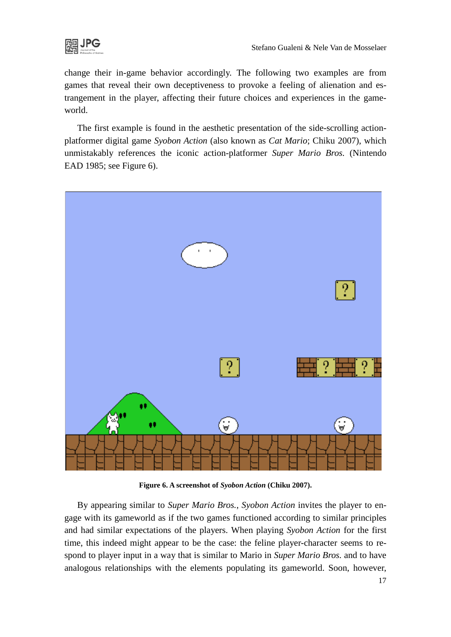

change their in-game behavior accordingly. The following two examples are from games that reveal their own deceptiveness to provoke a feeling of alienation and estrangement in the player, affecting their future choices and experiences in the gameworld.

The first example is found in the aesthetic presentation of the side-scrolling actionplatformer digital game *Syobon Action* (also known as *Cat Mario*; Chiku 2007), which unmistakably references the iconic action-platformer *Super Mario Bros.* (Nintendo EAD 1985; see Figure 6).



**Figure 6. A screenshot of** *Syobon Action* **(Chiku 2007).**

By appearing similar to *Super Mario Bros.*, *Syobon Action* invites the player to engage with its gameworld as if the two games functioned according to similar principles and had similar expectations of the players. When playing *Syobon Action* for the first time, this indeed might appear to be the case: the feline player-character seems to respond to player input in a way that is similar to Mario in *Super Mario Bros.* and to have analogous relationships with the elements populating its gameworld. Soon, however,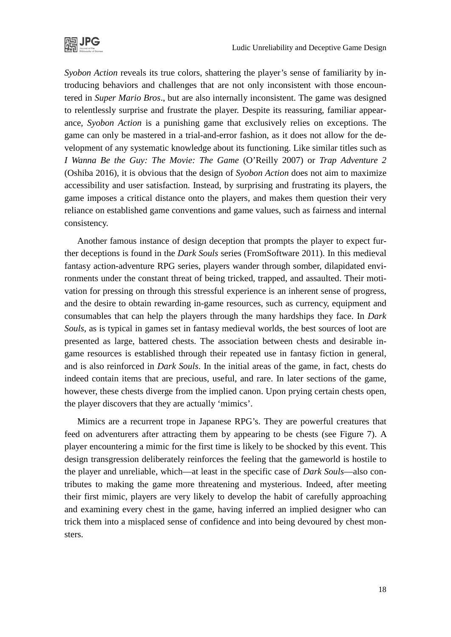

*Syobon Action* reveals its true colors, shattering the player's sense of familiarity by introducing behaviors and challenges that are not only inconsistent with those encountered in *Super Mario Bros*., but are also internally inconsistent. The game was designed to relentlessly surprise and frustrate the player. Despite its reassuring, familiar appearance, *Syobon Action* is a punishing game that exclusively relies on exceptions. The game can only be mastered in a trial-and-error fashion, as it does not allow for the development of any systematic knowledge about its functioning. Like similar titles such as *I Wanna Be the Guy: The Movie: The Game* (O'Reilly 2007) or *Trap Adventure 2* (Oshiba 2016), it is obvious that the design of *Syobon Action* does not aim to maximize accessibility and user satisfaction. Instead, by surprising and frustrating its players, the game imposes a critical distance onto the players, and makes them question their very reliance on established game conventions and game values, such as fairness and internal consistency.

Another famous instance of design deception that prompts the player to expect further deceptions is found in the *Dark Souls* series (FromSoftware 2011). In this medieval fantasy action-adventure RPG series, players wander through somber, dilapidated environments under the constant threat of being tricked, trapped, and assaulted. Their motivation for pressing on through this stressful experience is an inherent sense of progress, and the desire to obtain rewarding in-game resources, such as currency, equipment and consumables that can help the players through the many hardships they face. In *Dark Souls*, as is typical in games set in fantasy medieval worlds, the best sources of loot are presented as large, battered chests. The association between chests and desirable ingame resources is established through their repeated use in fantasy fiction in general, and is also reinforced in *Dark Souls*. In the initial areas of the game, in fact, chests do indeed contain items that are precious, useful, and rare. In later sections of the game, however, these chests diverge from the implied canon. Upon prying certain chests open, the player discovers that they are actually 'mimics'.

Mimics are a recurrent trope in Japanese RPG's. They are powerful creatures that feed on adventurers after attracting them by appearing to be chests (see Figure 7). A player encountering a mimic for the first time is likely to be shocked by this event. This design transgression deliberately reinforces the feeling that the gameworld is hostile to the player and unreliable, which—at least in the specific case of *Dark Souls*—also contributes to making the game more threatening and mysterious. Indeed, after meeting their first mimic, players are very likely to develop the habit of carefully approaching and examining every chest in the game, having inferred an implied designer who can trick them into a misplaced sense of confidence and into being devoured by chest monsters.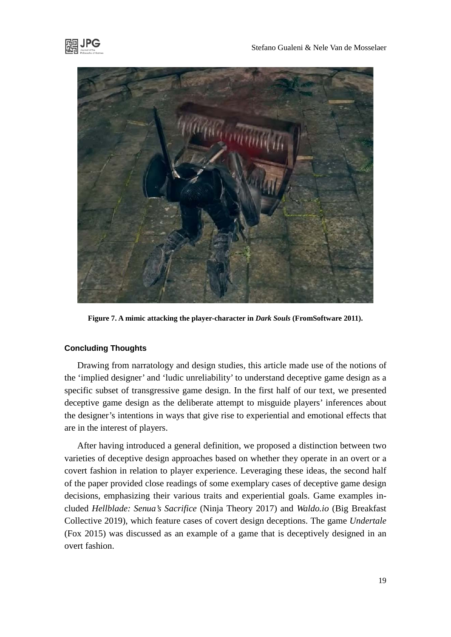

**Figure 7. A mimic attacking the player-character in** *Dark Souls* **(FromSoftware 2011).**

### **Concluding Thoughts**

Drawing from narratology and design studies, this article made use of the notions of the 'implied designer' and 'ludic unreliability' to understand deceptive game design as a specific subset of transgressive game design. In the first half of our text, we presented deceptive game design as the deliberate attempt to misguide players' inferences about the designer's intentions in ways that give rise to experiential and emotional effects that are in the interest of players.

After having introduced a general definition, we proposed a distinction between two varieties of deceptive design approaches based on whether they operate in an overt or a covert fashion in relation to player experience. Leveraging these ideas, the second half of the paper provided close readings of some exemplary cases of deceptive game design decisions, emphasizing their various traits and experiential goals. Game examples included *Hellblade: Senua's Sacrifice* (Ninja Theory 2017) and *Waldo.io* (Big Breakfast Collective 2019), which feature cases of covert design deceptions. The game *Undertale* (Fox 2015) was discussed as an example of a game that is deceptively designed in an overt fashion.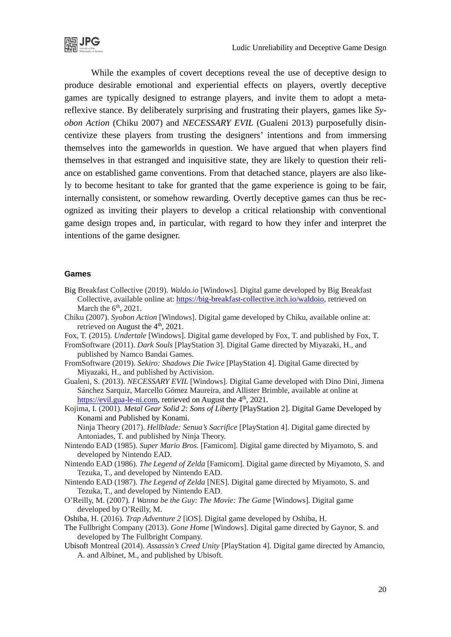

While the examples of covert deceptions reveal the use of deceptive design to produce desirable emotional and experiential effects on players, overtly deceptive games are typically designed to estrange players, and invite them to adopt a metareflexive stance. By deliberately surprising and frustrating their players, games like *Syobon Action* (Chiku 2007) and *NECESSARY EVIL* (Gualeni 2013) purposefully disincentivize these players from trusting the designers' intentions and from immersing themselves into the gameworlds in question. We have argued that when players find themselves in that estranged and inquisitive state, they are likely to question their reliance on established game conventions. From that detached stance, players are also likely to become hesitant to take for granted that the game experience is going to be fair, internally consistent, or somehow rewarding. Overtly deceptive games can thus be recognized as inviting their players to develop a critical relationship with conventional game design tropes and, in particular, with regard to how they infer and interpret the intentions of the game designer.

#### **Games**

- Big Breakfast Collective (2019). *Waldo.io* [Windows]. Digital game developed by Big Breakfast Collective, available online at: [https://big-breakfast-collective.itch.io/waldoio,](https://big-breakfast-collective.itch.io/waldoio) retrieved on March the  $6<sup>th</sup>$ , 2021.
- Chiku (2007). *Syobon Action* [Windows]. Digital game developed by Chiku, available online at: retrieved on August the 4<sup>th</sup>, 2021.
- Fox, T. (2015). *Undertale* [Windows]. Digital game developed by Fox, T. and published by Fox, T.
- FromSoftware (2011). *Dark Souls* [PlayStation 3]. Digital Game directed by Miyazaki, H., and published by Namco Bandai Games.
- FromSoftware (2019). *Sekiro: Shadows Die Twice* [PlayStation 4]. Digital Game directed by Miyazaki, H., and published by Activision.
- Gualeni, S. (2013). *NECESSARY EVIL* [Windows]. Digital Game developed with Dino Dini, Jimena Sánchez Sarquiz, Marcello Gómez Maureira, and Allister Brimble, available at online at [https://evil.gua-le-ni.com,](https://evil.gua-le-ni.com/) retrieved on August the  $4<sup>th</sup>$ , 2021.

Kojima, I. (2001). *Metal Gear Solid 2: Sons of Liberty* [PlayStation 2]. Digital Game Developed by Konami and Published by Konami. Ninja Theory (2017). *Hellblade: Senua's Sacrifice* [PlayStation 4]. Digital game directed by

Antoniades, T. and published by Ninja Theory.

- Nintendo EAD (1985). *Super Mario Bros.* [Famicom]. Digital game directed by Miyamoto, S. and developed by Nintendo EAD.
- Nintendo EAD (1986). *The Legend of Zelda* [Famicom]. Digital game directed by Miyamoto, S. and Tezuka, T., and developed by Nintendo EAD.
- Nintendo EAD (1987). *The Legend of Zelda* [NES]. Digital game directed by Miyamoto, S. and Tezuka, T., and developed by Nintendo EAD.
- O'Reilly, M. (2007). *I Wanna be the Guy: The Movie: The Game* [Windows]. Digital game developed by O'Reilly, M.

Oshiba, H. (2016). *Trap Adventure 2* [iOS]. Digital game developed by Oshiba, H.

- The Fullbright Company (2013). *Gone Home* [Windows]. Digital game directed by Gaynor, S. and developed by The Fullbright Company.
- Ubisoft Montreal (2014). *Assassin's Creed Unity* [PlayStation 4]. Digital game directed by Amancio, A. and Albinet, M., and published by Ubisoft.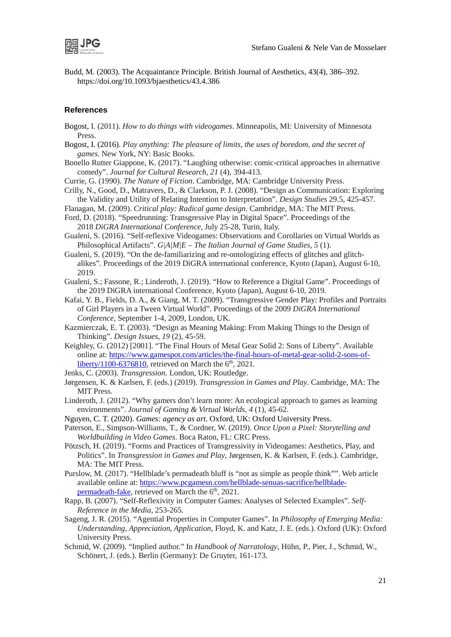

Budd, M. (2003). The Acquaintance Principle. British Journal of Aesthetics, 43(4), 386–392. https://doi.org/10.1093/bjaesthetics/43.4.386

#### **References**

- Bogost, I. (2011). *How to do things with videogames*. Minneapolis, MI: University of Minnesota Press.
- Bogost, I. (2016). *Play anything: The pleasure of limits, the uses of boredom, and the secret of games*. New York, NY: Basic Books.
- Bonello Rutter Giappone, K. (2017). "Laughing otherwise: comic-critical approaches in alternative comedy". *Journal for Cultural Research*, *21* (4), 394-413.
- Currie, G. (1990). *The Nature of Fiction*. Cambridge, MA: Cambridge University Press.
- Crilly, N., Good, D., Matravers, D., & Clarkson, P. J. (2008). "Design as Communication: Exploring the Validity and Utility of Relating Intention to Interpretation". *Design Studies* 29.5, 425-457.
- Flanagan, M. (2009). *Critical play: Radical game design*. Cambridge, MA: The MIT Press. Ford, D. (2018). "Speedrunning: Transgressive Play in Digital Space". Proceedings of the

2018 *DiGRA International Conference*, July 25-28, Turin, Italy.

- Gualeni, S. (2016). "Self-reflexive Videogames: Observations and Corollaries on Virtual Worlds as Philosophical Artifacts". *G|A|M|E – The Italian Journal of Game Studies*, *5* (1).
- Gualeni, S. (2019). "On the de-familiarizing and re-ontologizing effects of glitches and glitchalikes". Proceedings of the 2019 DiGRA international conference, Kyoto (Japan), August 6-10, 2019.
- Gualeni, S.; Fassone, R.; Linderoth, J. (2019). "How to Reference a Digital Game". Proceedings of the 2019 DiGRA international Conference, Kyoto (Japan), August 6-10, 2019.
- Kafai, Y. B., Fields, D. A., & Giang, M. T. (2009). "Transgressive Gender Play: Profiles and Portraits of Girl Players in a Tween Virtual World". Proceedings of the 2009 *DiGRA International Conference*, September 1-4, 2009, London, UK.
- Kazmierczak, E. T. (2003). "Design as Meaning Making: From Making Things to the Design of Thinking". *Design Issues*, *19* (2), 45-59.
- Keighley, G. (2012) [2001]. "The Final Hours of Metal Gear Solid 2: Sons of Liberty". Available online at: [https://www.gamespot.com/articles/the-final-hours-of-metal-gear-solid-2-sons-of](https://www.gamespot.com/articles/the-final-hours-of-metal-gear-solid-2-sons-of-liberty/1100-6376810/)[liberty/1100-6376810,](https://www.gamespot.com/articles/the-final-hours-of-metal-gear-solid-2-sons-of-liberty/1100-6376810/) retrieved on March the  $6<sup>th</sup>$ , 2021.
- Jenks, C. (2003). *Transgression*. London, UK: Routledge.
- Jørgensen, K. & Karlsen, F. (eds.) (2019). *Transgression in Games and Play*. Cambridge, MA: The MIT Press.
- Linderoth, J. (2012). "Why gamers don't learn more: An ecological approach to games as learning environments". *Journal of Gaming & Virtual Worlds*, *4* (1), 45-62.
- Nguyen, C. T. (2020). *Games: agency as art*. Oxford, UK: Oxford University Press.
- Paterson, E., Simpson-Williams, T., & Cordner, W. (2019). *Once Upon a Pixel: Storytelling and Worldbuilding in Video Games*. Boca Raton, FL: CRC Press.
- Pötzsch, H. (2019). "Forms and Practices of Transgressivity in Videogames: Aesthetics, Play, and Politics". In *Transgression in Games and Play*, Jørgensen, K. & Karlsen, F. (eds.). Cambridge, MA: The MIT Press.
- Purslow, M. (2017). "Hellblade's permadeath bluff is "not as simple as people think"". Web article available online at: [https://www.pcgamesn.com/hellblade-senuas-sacrifice/hellblade](https://www.pcgamesn.com/hellblade-senuas-sacrifice/hellblade-permadeath-fake)[permadeath-fake,](https://www.pcgamesn.com/hellblade-senuas-sacrifice/hellblade-permadeath-fake) retrieved on March the 6<sup>th</sup>, 2021.
- Rapp, B. (2007). "Self-Reflexivity in Computer Games: Analyses of Selected Examples". *Self-Reference in the Media*, 253-265.
- Sageng, J. R. (2015). "Agential Properties in Computer Games". In *Philosophy of Emerging Media: Understanding, Appreciation, Application*, Floyd, K. and Katz, J. E. (eds.). Oxford (UK): Oxford University Press.
- Schmid, W. (2009). "Implied author." In *Handbook of Narratology*, Hühn, P., Pier, J., Schmid, W., Schönert, J. (eds.). Berlin (Germany): De Gruyter, 161-173.